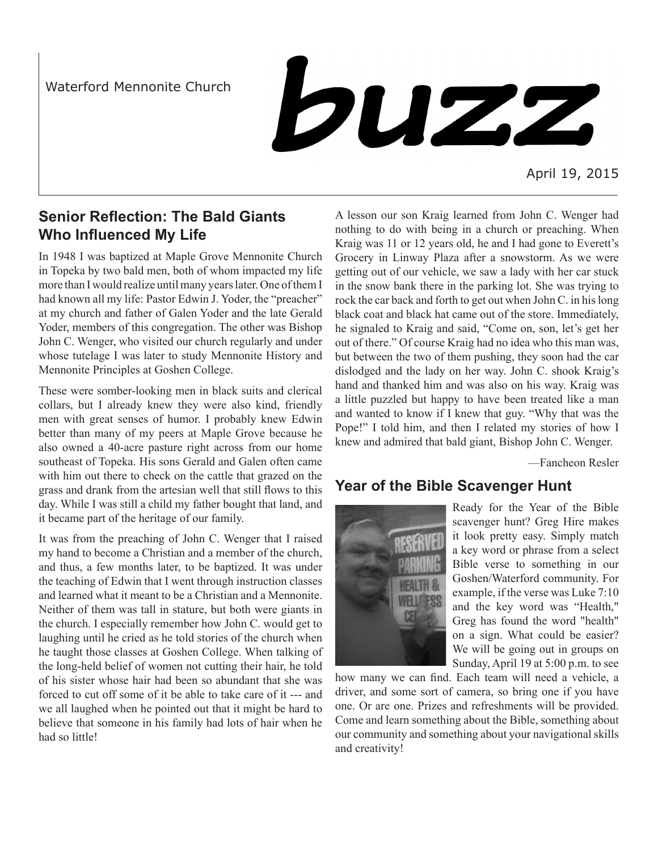Waterford Mennonite Church

buzz

April 19, 2015

## **Senior Reflection: The Bald Giants Who Influenced My Life**

In 1948 I was baptized at Maple Grove Mennonite Church in Topeka by two bald men, both of whom impacted my life more than I would realize until many years later. One of them I had known all my life: Pastor Edwin J. Yoder, the "preacher" at my church and father of Galen Yoder and the late Gerald Yoder, members of this congregation. The other was Bishop John C. Wenger, who visited our church regularly and under whose tutelage I was later to study Mennonite History and Mennonite Principles at Goshen College.

These were somber-looking men in black suits and clerical collars, but I already knew they were also kind, friendly men with great senses of humor. I probably knew Edwin better than many of my peers at Maple Grove because he also owned a 40-acre pasture right across from our home southeast of Topeka. His sons Gerald and Galen often came with him out there to check on the cattle that grazed on the grass and drank from the artesian well that still flows to this day. While I was still a child my father bought that land, and it became part of the heritage of our family.

It was from the preaching of John C. Wenger that I raised my hand to become a Christian and a member of the church, and thus, a few months later, to be baptized. It was under the teaching of Edwin that I went through instruction classes and learned what it meant to be a Christian and a Mennonite. Neither of them was tall in stature, but both were giants in the church. I especially remember how John C. would get to laughing until he cried as he told stories of the church when he taught those classes at Goshen College. When talking of the long-held belief of women not cutting their hair, he told of his sister whose hair had been so abundant that she was forced to cut off some of it be able to take care of it --- and we all laughed when he pointed out that it might be hard to believe that someone in his family had lots of hair when he had so little!

A lesson our son Kraig learned from John C. Wenger had nothing to do with being in a church or preaching. When Kraig was 11 or 12 years old, he and I had gone to Everett's Grocery in Linway Plaza after a snowstorm. As we were getting out of our vehicle, we saw a lady with her car stuck in the snow bank there in the parking lot. She was trying to rock the car back and forth to get out when John C. in his long black coat and black hat came out of the store. Immediately, he signaled to Kraig and said, "Come on, son, let's get her out of there." Of course Kraig had no idea who this man was, but between the two of them pushing, they soon had the car dislodged and the lady on her way. John C. shook Kraig's hand and thanked him and was also on his way. Kraig was a little puzzled but happy to have been treated like a man and wanted to know if I knew that guy. "Why that was the Pope!" I told him, and then I related my stories of how I knew and admired that bald giant, Bishop John C. Wenger.

—Fancheon Resler

## **Year of the Bible Scavenger Hunt**



Ready for the Year of the Bible scavenger hunt? Greg Hire makes it look pretty easy. Simply match a key word or phrase from a select Bible verse to something in our Goshen/Waterford community. For example, if the verse was Luke 7:10 and the key word was "Health," Greg has found the word "health" on a sign. What could be easier? We will be going out in groups on Sunday, April 19 at 5:00 p.m. to see

how many we can find. Each team will need a vehicle, a driver, and some sort of camera, so bring one if you have one. Or are one. Prizes and refreshments will be provided. Come and learn something about the Bible, something about our community and something about your navigational skills and creativity!